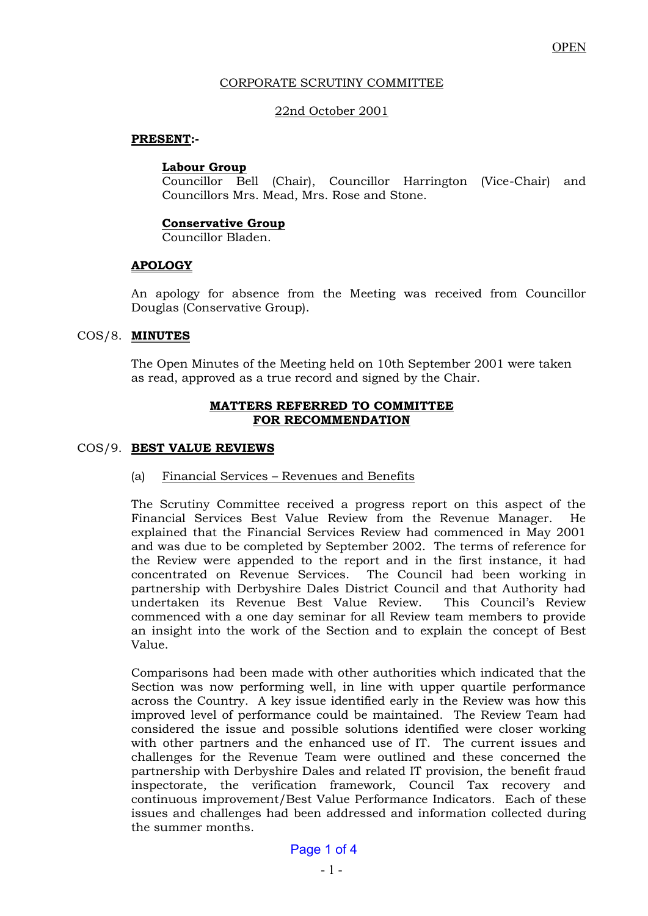### CORPORATE SCRUTINY COMMITTEE

## 22nd October 2001

### **PRESENT:-**

#### **Labour Group**

 Councillor Bell (Chair), Councillor Harrington (Vice-Chair) and Councillors Mrs. Mead, Mrs. Rose and Stone.

#### **Conservative Group**

Councillor Bladen.

## **APOLOGY**

 An apology for absence from the Meeting was received from Councillor Douglas (Conservative Group).

#### COS/8. **MINUTES**

 The Open Minutes of the Meeting held on 10th September 2001 were taken as read, approved as a true record and signed by the Chair.

#### **MATTERS REFERRED TO COMMITTEE FOR RECOMMENDATION**

#### COS/9. **BEST VALUE REVIEWS**

## (a) Financial Services – Revenues and Benefits

 The Scrutiny Committee received a progress report on this aspect of the Financial Services Best Value Review from the Revenue Manager. He explained that the Financial Services Review had commenced in May 2001 and was due to be completed by September 2002. The terms of reference for the Review were appended to the report and in the first instance, it had concentrated on Revenue Services. The Council had been working in partnership with Derbyshire Dales District Council and that Authority had undertaken its Revenue Best Value Review. This Council's Review commenced with a one day seminar for all Review team members to provide an insight into the work of the Section and to explain the concept of Best Value.

 Comparisons had been made with other authorities which indicated that the Section was now performing well, in line with upper quartile performance across the Country. A key issue identified early in the Review was how this improved level of performance could be maintained. The Review Team had considered the issue and possible solutions identified were closer working with other partners and the enhanced use of IT. The current issues and challenges for the Revenue Team were outlined and these concerned the partnership with Derbyshire Dales and related IT provision, the benefit fraud inspectorate, the verification framework, Council Tax recovery and continuous improvement/Best Value Performance Indicators. Each of these issues and challenges had been addressed and information collected during the summer months.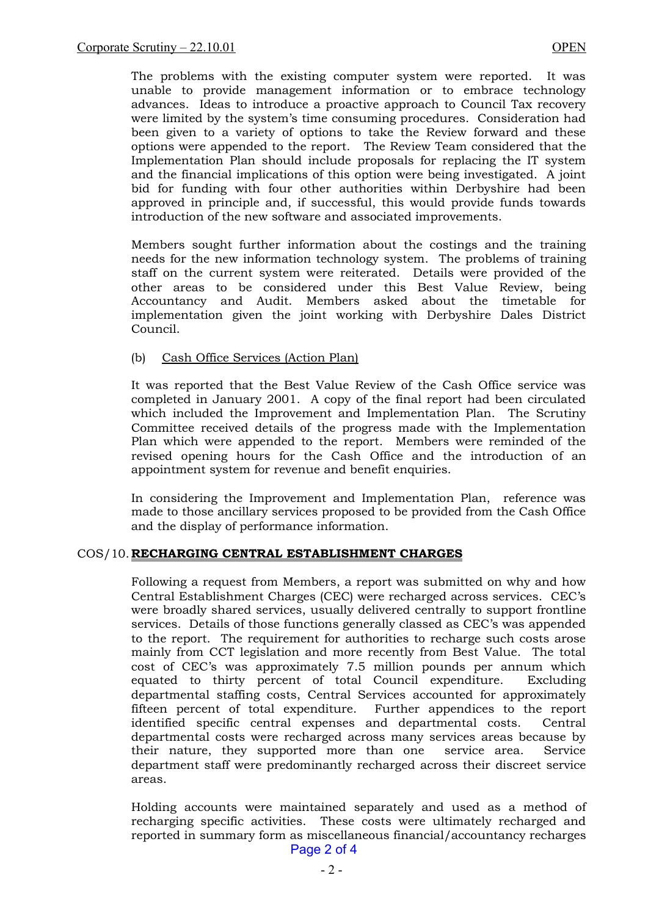The problems with the existing computer system were reported. It was unable to provide management information or to embrace technology advances. Ideas to introduce a proactive approach to Council Tax recovery were limited by the system's time consuming procedures. Consideration had been given to a variety of options to take the Review forward and these options were appended to the report. The Review Team considered that the Implementation Plan should include proposals for replacing the IT system and the financial implications of this option were being investigated. A joint bid for funding with four other authorities within Derbyshire had been approved in principle and, if successful, this would provide funds towards introduction of the new software and associated improvements.

 Members sought further information about the costings and the training needs for the new information technology system. The problems of training staff on the current system were reiterated. Details were provided of the other areas to be considered under this Best Value Review, being Accountancy and Audit. Members asked about the timetable for implementation given the joint working with Derbyshire Dales District Council.

#### (b) Cash Office Services (Action Plan)

It was reported that the Best Value Review of the Cash Office service was completed in January 2001. A copy of the final report had been circulated which included the Improvement and Implementation Plan. The Scrutiny Committee received details of the progress made with the Implementation Plan which were appended to the report. Members were reminded of the revised opening hours for the Cash Office and the introduction of an appointment system for revenue and benefit enquiries.

In considering the Improvement and Implementation Plan, reference was made to those ancillary services proposed to be provided from the Cash Office and the display of performance information.

## COS/10. **RECHARGING CENTRAL ESTABLISHMENT CHARGES**

 Following a request from Members, a report was submitted on why and how Central Establishment Charges (CEC) were recharged across services. CEC's were broadly shared services, usually delivered centrally to support frontline services. Details of those functions generally classed as CEC's was appended to the report. The requirement for authorities to recharge such costs arose mainly from CCT legislation and more recently from Best Value. The total cost of CEC's was approximately 7.5 million pounds per annum which equated to thirty percent of total Council expenditure. Excluding departmental staffing costs, Central Services accounted for approximately fifteen percent of total expenditure. Further appendices to the report identified specific central expenses and departmental costs. Central departmental costs were recharged across many services areas because by their nature, they supported more than one service area. Service department staff were predominantly recharged across their discreet service areas.

 Holding accounts were maintained separately and used as a method of recharging specific activities. These costs were ultimately recharged and reported in summary form as miscellaneous financial/accountancy recharges Page 2 of 4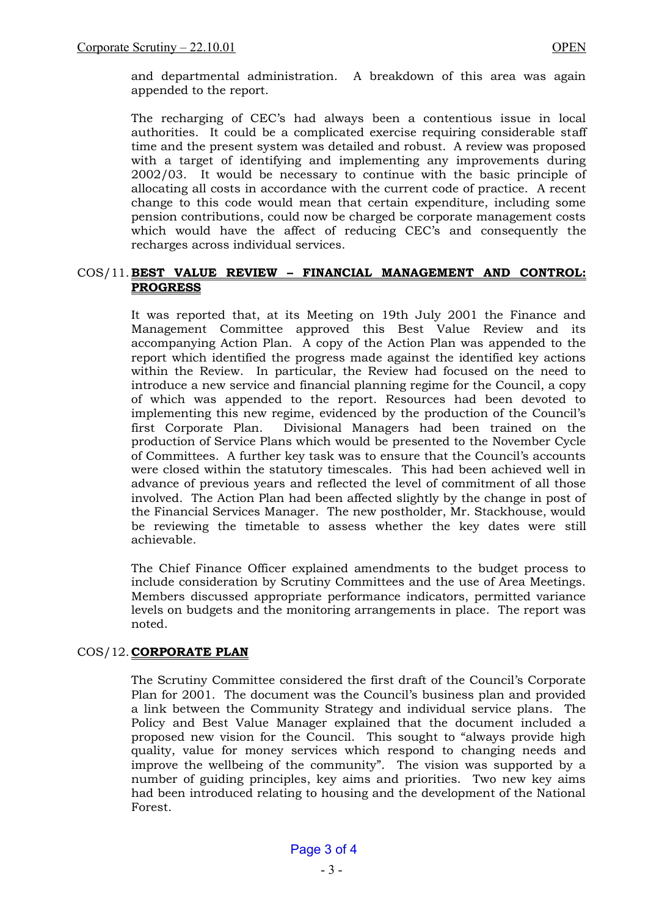and departmental administration. A breakdown of this area was again appended to the report.

The recharging of CEC's had always been a contentious issue in local authorities. It could be a complicated exercise requiring considerable staff time and the present system was detailed and robust. A review was proposed with a target of identifying and implementing any improvements during 2002/03. It would be necessary to continue with the basic principle of allocating all costs in accordance with the current code of practice. A recent change to this code would mean that certain expenditure, including some pension contributions, could now be charged be corporate management costs which would have the affect of reducing CEC's and consequently the recharges across individual services.

## COS/11. **BEST VALUE REVIEW – FINANCIAL MANAGEMENT AND CONTROL: PROGRESS**

 It was reported that, at its Meeting on 19th July 2001 the Finance and Management Committee approved this Best Value Review and its accompanying Action Plan. A copy of the Action Plan was appended to the report which identified the progress made against the identified key actions within the Review. In particular, the Review had focused on the need to introduce a new service and financial planning regime for the Council, a copy of which was appended to the report. Resources had been devoted to implementing this new regime, evidenced by the production of the Council's first Corporate Plan. Divisional Managers had been trained on the production of Service Plans which would be presented to the November Cycle of Committees. A further key task was to ensure that the Council's accounts were closed within the statutory timescales. This had been achieved well in advance of previous years and reflected the level of commitment of all those involved. The Action Plan had been affected slightly by the change in post of the Financial Services Manager. The new postholder, Mr. Stackhouse, would be reviewing the timetable to assess whether the key dates were still achievable.

 The Chief Finance Officer explained amendments to the budget process to include consideration by Scrutiny Committees and the use of Area Meetings. Members discussed appropriate performance indicators, permitted variance levels on budgets and the monitoring arrangements in place. The report was noted.

## COS/12. **CORPORATE PLAN**

The Scrutiny Committee considered the first draft of the Council's Corporate Plan for 2001. The document was the Council's business plan and provided a link between the Community Strategy and individual service plans. The Policy and Best Value Manager explained that the document included a proposed new vision for the Council. This sought to "always provide high quality, value for money services which respond to changing needs and improve the wellbeing of the community". The vision was supported by a number of guiding principles, key aims and priorities. Two new key aims had been introduced relating to housing and the development of the National Forest.